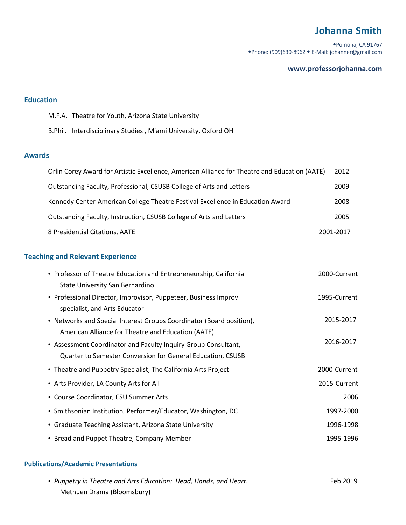# **Johanna Smith**

Pomona, CA 91767 Phone: (909)630-8962 E-Mail: johanner@gmail.com

#### **www.professorjohanna.com**

### **Education**

M.F.A. Theatre for Youth, Arizona State University

B.Phil. Interdisciplinary Studies , Miami University, Oxford OH

#### **Awards**

| Orlin Corey Award for Artistic Excellence, American Alliance for Theatre and Education (AATE) | 2012      |
|-----------------------------------------------------------------------------------------------|-----------|
| Outstanding Faculty, Professional, CSUSB College of Arts and Letters                          | 2009      |
| Kennedy Center-American College Theatre Festival Excellence in Education Award                | 2008      |
| Outstanding Faculty, Instruction, CSUSB College of Arts and Letters                           | 2005      |
| 8 Presidential Citations, AATE                                                                | 2001-2017 |

## **Teaching and Relevant Experience**

| • Professor of Theatre Education and Entrepreneurship, California    | 2000-Current |
|----------------------------------------------------------------------|--------------|
| State University San Bernardino                                      |              |
| • Professional Director, Improvisor, Puppeteer, Business Improv      | 1995-Current |
| specialist, and Arts Educator                                        |              |
| • Networks and Special Interest Groups Coordinator (Board position), | 2015-2017    |
| American Alliance for Theatre and Education (AATE)                   |              |
| • Assessment Coordinator and Faculty Inquiry Group Consultant,       | 2016-2017    |
| Quarter to Semester Conversion for General Education, CSUSB          |              |
| • Theatre and Puppetry Specialist, The California Arts Project       | 2000-Current |
| • Arts Provider, LA County Arts for All                              | 2015-Current |
| • Course Coordinator, CSU Summer Arts                                | 2006         |
| • Smithsonian Institution, Performer/Educator, Washington, DC        | 1997-2000    |
| • Graduate Teaching Assistant, Arizona State University              | 1996-1998    |
| • Bread and Puppet Theatre, Company Member                           | 1995-1996    |

#### **Publications/Academic Presentations**

| • Puppetry in Theatre and Arts Education: Head, Hands, and Heart. | Feb 2019 |
|-------------------------------------------------------------------|----------|
| Methuen Drama (Bloomsbury)                                        |          |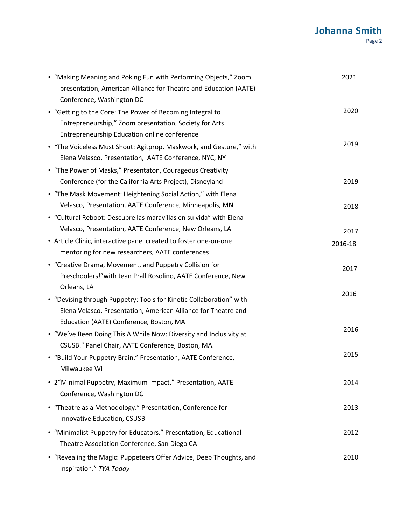| • "Making Meaning and Poking Fun with Performing Objects," Zoom<br>presentation, American Alliance for Theatre and Education (AATE)<br>Conference, Washington DC    | 2021    |
|---------------------------------------------------------------------------------------------------------------------------------------------------------------------|---------|
| • "Getting to the Core: The Power of Becoming Integral to<br>Entrepreneurship," Zoom presentation, Society for Arts<br>Entrepreneurship Education online conference | 2020    |
| • "The Voiceless Must Shout: Agitprop, Maskwork, and Gesture," with<br>Elena Velasco, Presentation, AATE Conference, NYC, NY                                        | 2019    |
| • "The Power of Masks," Presentaton, Courageous Creativity<br>Conference (for the California Arts Project), Disneyland                                              | 2019    |
| • "The Mask Movement: Heightening Social Action," with Elena<br>Velasco, Presentation, AATE Conference, Minneapolis, MN                                             | 2018    |
| • "Cultural Reboot: Descubre las maravillas en su vida" with Elena<br>Velasco, Presentation, AATE Conference, New Orleans, LA                                       | 2017    |
| • Article Clinic, interactive panel created to foster one-on-one<br>mentoring for new researchers, AATE conferences                                                 | 2016-18 |
| • "Creative Drama, Movement, and Puppetry Collision for<br>Preschoolers!" with Jean Prall Rosolino, AATE Conference, New                                            | 2017    |
| Orleans, LA<br>• "Devising through Puppetry: Tools for Kinetic Collaboration" with<br>Elena Velasco, Presentation, American Alliance for Theatre and                | 2016    |
| Education (AATE) Conference, Boston, MA<br>• "We've Been Doing This A While Now: Diversity and Inclusivity at<br>CSUSB." Panel Chair, AATE Conference, Boston, MA.  | 2016    |
| • "Build Your Puppetry Brain." Presentation, AATE Conference,<br>Milwaukee WI                                                                                       | 2015    |
| • 2"Minimal Puppetry, Maximum Impact." Presentation, AATE<br>Conference, Washington DC                                                                              | 2014    |
| • "Theatre as a Methodology." Presentation, Conference for<br>Innovative Education, CSUSB                                                                           | 2013    |
| • "Minimalist Puppetry for Educators." Presentation, Educational<br>Theatre Association Conference, San Diego CA                                                    | 2012    |
| • "Revealing the Magic: Puppeteers Offer Advice, Deep Thoughts, and<br>Inspiration." TYA Today                                                                      | 2010    |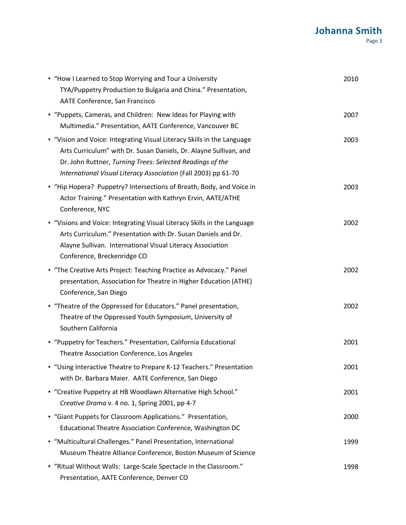| • "How I Learned to Stop Worrying and Tour a University<br>TYA/Puppetry Production to Bulgaria and China." Presentation,<br>AATE Conference, San Francisco                                                                                                                  | 2010 |
|-----------------------------------------------------------------------------------------------------------------------------------------------------------------------------------------------------------------------------------------------------------------------------|------|
| • "Puppets, Cameras, and Children: New Ideas for Playing with<br>Multimedia." Presentation, AATE Conference, Vancouver BC                                                                                                                                                   | 2007 |
| • "Vision and Voice: Integrating Visual Literacy Skills in the Language<br>Arts Curriculum" with Dr. Susan Daniels, Dr. Alayne Sullivan, and<br>Dr. John Ruttner, Turning Trees: Selected Readings of the<br>International Visual Literacy Association (Fall 2003) pp 61-70 | 2003 |
| • "Hip Hopera? Puppetry? Intersections of Breath, Body, and Voice in<br>Actor Training." Presentation with Kathryn Ervin, AATE/ATHE<br>Conference, NYC                                                                                                                      | 2003 |
| • "Visions and Voice: Integrating Visual Literacy Skills in the Language<br>Arts Curriculum." Presentation with Dr. Susan Daniels and Dr.<br>Alayne Sullivan. International Visual Literacy Association<br>Conference, Breckenridge CO                                      | 2002 |
| • "The Creative Arts Project: Teaching Practice as Advocacy." Panel<br>presentation, Association for Theatre in Higher Education (ATHE)<br>Conference, San Diego                                                                                                            | 2002 |
| • "Theatre of the Oppressed for Educators." Panel presentation,<br>Theatre of the Oppressed Youth Symposium, University of<br>Southern California                                                                                                                           | 2002 |
| • "Puppetry for Teachers." Presentation, California Educational<br>Theatre Association Conference, Los Angeles                                                                                                                                                              | 2001 |
| • "Using Interactive Theatre to Prepare K-12 Teachers." Presentation<br>with Dr. Barbara Maier. AATE Conference, San Diego                                                                                                                                                  | 2001 |
| • "Creative Puppetry at HB Woodlawn Alternative High School."<br>Creative Drama v. 4 no. 1, Spring 2001, pp 4-7                                                                                                                                                             | 2001 |
| • "Giant Puppets for Classroom Applications." Presentation,<br>Educational Theatre Association Conference, Washington DC                                                                                                                                                    | 2000 |
| • "Multicultural Challenges." Panel Presentation, International<br>Museum Theatre Alliance Conference, Boston Museum of Science                                                                                                                                             | 1999 |
| • "Ritual Without Walls: Large-Scale Spectacle in the Classroom."<br>Presentation, AATE Conference, Denver CO                                                                                                                                                               | 1998 |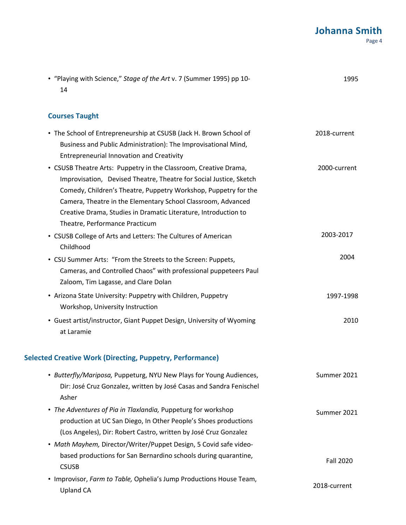| • "Playing with Science," Stage of the Art v. 7 (Summer 1995) pp 10-<br>14                                                                                                                                                                                                                                                                                                     | 1995             |
|--------------------------------------------------------------------------------------------------------------------------------------------------------------------------------------------------------------------------------------------------------------------------------------------------------------------------------------------------------------------------------|------------------|
| <b>Courses Taught</b>                                                                                                                                                                                                                                                                                                                                                          |                  |
| • The School of Entrepreneurship at CSUSB (Jack H. Brown School of<br>Business and Public Administration): The Improvisational Mind,<br>Entrepreneurial Innovation and Creativity                                                                                                                                                                                              | 2018-current     |
| • CSUSB Theatre Arts: Puppetry in the Classroom, Creative Drama,<br>Improvisation, Devised Theatre, Theatre for Social Justice, Sketch<br>Comedy, Children's Theatre, Puppetry Workshop, Puppetry for the<br>Camera, Theatre in the Elementary School Classroom, Advanced<br>Creative Drama, Studies in Dramatic Literature, Introduction to<br>Theatre, Performance Practicum | 2000-current     |
| • CSUSB College of Arts and Letters: The Cultures of American<br>Childhood                                                                                                                                                                                                                                                                                                     | 2003-2017        |
| • CSU Summer Arts: "From the Streets to the Screen: Puppets,<br>Cameras, and Controlled Chaos" with professional puppeteers Paul<br>Zaloom, Tim Lagasse, and Clare Dolan                                                                                                                                                                                                       | 2004             |
| • Arizona State University: Puppetry with Children, Puppetry<br>Workshop, University Instruction                                                                                                                                                                                                                                                                               | 1997-1998        |
| • Guest artist/instructor, Giant Puppet Design, University of Wyoming<br>at Laramie                                                                                                                                                                                                                                                                                            | 2010             |
| <b>Selected Creative Work (Directing, Puppetry, Performance)</b>                                                                                                                                                                                                                                                                                                               |                  |
| • Butterfly/Mariposa, Puppeturg, NYU New Plays for Young Audiences,<br>Dir: José Cruz Gonzalez, written by José Casas and Sandra Fenischel<br>Asher                                                                                                                                                                                                                            | Summer 2021      |
| • The Adventures of Pia in Tlaxlandia, Puppeturg for workshop<br>production at UC San Diego, In Other People's Shoes productions<br>(Los Angeles), Dir: Robert Castro, written by José Cruz Gonzalez                                                                                                                                                                           | Summer 2021      |
| • Math Mayhem, Director/Writer/Puppet Design, 5 Covid safe video-                                                                                                                                                                                                                                                                                                              |                  |
| based productions for San Bernardino schools during quarantine,                                                                                                                                                                                                                                                                                                                | <b>Fall 2020</b> |

CSUSB • Improvisor, *Farm to Table,* Ophelia's Jump Productions House Team, Upland CA 2018-current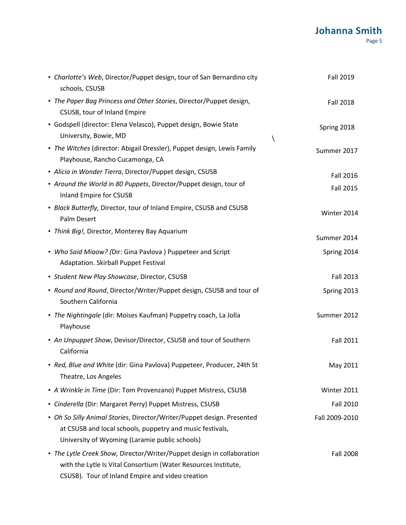| • Charlotte's Web, Director/Puppet design, tour of San Bernardino city<br>schools, CSUSB                                                                                                     | <b>Fall 2019</b> |
|----------------------------------------------------------------------------------------------------------------------------------------------------------------------------------------------|------------------|
| • The Paper Bag Princess and Other Stories, Director/Puppet design,<br>CSUSB, tour of Inland Empire                                                                                          | <b>Fall 2018</b> |
| · Godspell (director: Elena Velasco), Puppet design, Bowie State<br>University, Bowie, MD                                                                                                    | Spring 2018      |
| • The Witches (director: Abigail Dressler), Puppet design, Lewis Family<br>Playhouse, Rancho Cucamonga, CA                                                                                   | Summer 2017      |
| · Alicia in Wonder Tierra, Director/Puppet design, CSUSB                                                                                                                                     | <b>Fall 2016</b> |
| • Around the World in 80 Puppets, Director/Puppet design, tour of<br>Inland Empire for CSUSB                                                                                                 | <b>Fall 2015</b> |
| • Black Butterfly, Director, tour of Inland Empire, CSUSB and CSUSB<br>Palm Desert                                                                                                           | Winter 2014      |
| • Think Big!, Director, Monterey Bay Aquarium                                                                                                                                                | Summer 2014      |
| • Who Said Miaow? (Dir: Gina Pavlova) Puppeteer and Script<br>Adaptation. Skirball Puppet Festival                                                                                           | Spring 2014      |
| · Student New Play Showcase, Director, CSUSB                                                                                                                                                 | <b>Fall 2013</b> |
| • Round and Round, Director/Writer/Puppet design, CSUSB and tour of<br>Southern California                                                                                                   | Spring 2013      |
| • The Nightingale (dir: Moises Kaufman) Puppetry coach, La Jolla<br>Playhouse                                                                                                                | Summer 2012      |
| • An Unpuppet Show, Devisor/Director, CSUSB and tour of Southern<br>California                                                                                                               | <b>Fall 2011</b> |
| · Red, Blue and White (dir: Gina Pavlova) Puppeteer, Producer, 24th St<br>Theatre, Los Angeles                                                                                               | May 2011         |
| • A Wrinkle in Time (Dir: Tom Provenzano) Puppet Mistress, CSUSB                                                                                                                             | Winter 2011      |
| · Cinderella (Dir: Margaret Perry) Puppet Mistress, CSUSB                                                                                                                                    | <b>Fall 2010</b> |
| • Oh So Silly Animal Stories, Director/Writer/Puppet design. Presented<br>at CSUSB and local schools, puppetry and music festivals,<br>University of Wyoming (Laramie public schools)        | Fall 2009-2010   |
| • The Lytle Creek Show, Director/Writer/Puppet design in collaboration<br>with the Lytle Is Vital Consortium (Water Resources Institute,<br>CSUSB). Tour of Inland Empire and video creation | <b>Fall 2008</b> |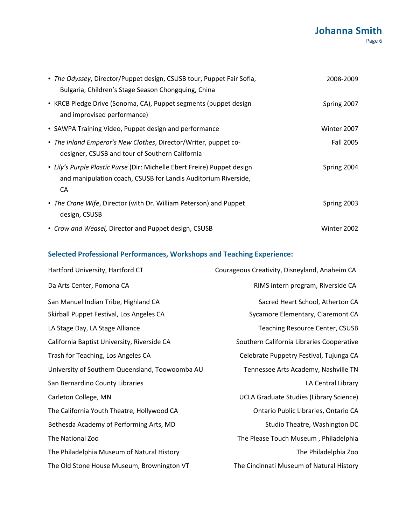| • The Odyssey, Director/Puppet design, CSUSB tour, Puppet Fair Sofia,<br>Bulgaria, Children's Stage Season Chongquing, China                     | 2008-2009   |
|--------------------------------------------------------------------------------------------------------------------------------------------------|-------------|
| • KRCB Pledge Drive (Sonoma, CA), Puppet segments (puppet design<br>and improvised performance)                                                  | Spring 2007 |
| • SAWPA Training Video, Puppet design and performance                                                                                            | Winter 2007 |
| • The Inland Emperor's New Clothes, Director/Writer, puppet co-<br>designer, CSUSB and tour of Southern California                               | Fall 2005   |
| • Lily's Purple Plastic Purse (Dir: Michelle Ebert Freire) Puppet design<br>and manipulation coach, CSUSB for Landis Auditorium Riverside,<br>CA | Spring 2004 |
| • The Crane Wife, Director (with Dr. William Peterson) and Puppet<br>design, CSUSB                                                               | Spring 2003 |
| • Crow and Weasel, Director and Puppet design, CSUSB                                                                                             | Winter 2002 |

# **Selected Professional Performances, Workshops and Teaching Experience:**

| Hartford University, Hartford CT                | Courageous Creativity, Disneyland, Anaheim CA  |
|-------------------------------------------------|------------------------------------------------|
| Da Arts Center, Pomona CA                       | RIMS intern program, Riverside CA              |
| San Manuel Indian Tribe, Highland CA            | Sacred Heart School, Atherton CA               |
| Skirball Puppet Festival, Los Angeles CA        | Sycamore Elementary, Claremont CA              |
| LA Stage Day, LA Stage Alliance                 | <b>Teaching Resource Center, CSUSB</b>         |
| California Baptist University, Riverside CA     | Southern California Libraries Cooperative      |
| Trash for Teaching, Los Angeles CA              | Celebrate Puppetry Festival, Tujunga CA        |
| University of Southern Queensland, Toowoomba AU | Tennessee Arts Academy, Nashville TN           |
| San Bernardino County Libraries                 | LA Central Library                             |
| Carleton College, MN                            | <b>UCLA Graduate Studies (Library Science)</b> |
| The California Youth Theatre, Hollywood CA      | Ontario Public Libraries, Ontario CA           |
| Bethesda Academy of Performing Arts, MD         | Studio Theatre, Washington DC                  |
| The National Zoo                                | The Please Touch Museum, Philadelphia          |
| The Philadelphia Museum of Natural History      | The Philadelphia Zoo                           |
| The Old Stone House Museum, Brownington VT      | The Cincinnati Museum of Natural History       |